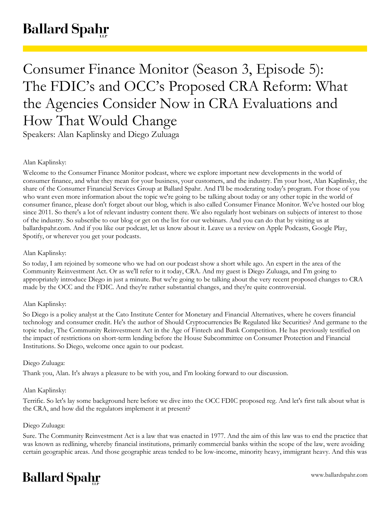# **Ballard Spahr**

Consumer Finance Monitor (Season 3, Episode 5): The FDIC's and OCC's Proposed CRA Reform: What the Agencies Consider Now in CRA Evaluations and How That Would Change

Speakers: Alan Kaplinsky and Diego Zuluaga

# Alan Kaplinsky:

Welcome to the Consumer Finance Monitor podcast, where we explore important new developments in the world of consumer finance, and what they mean for your business, your customers, and the industry. I'm your host, Alan Kaplinsky, the share of the Consumer Financial Services Group at Ballard Spahr. And I'll be moderating today's program. For those of you who want even more information about the topic we're going to be talking about today or any other topic in the world of consumer finance, please don't forget about our blog, which is also called Consumer Finance Monitor. We've hosted our blog since 2011. So there's a lot of relevant industry content there. We also regularly host webinars on subjects of interest to those of the industry. So subscribe to our blog or get on the list for our webinars. And you can do that by visiting us at ballardspahr.com. And if you like our podcast, let us know about it. Leave us a review on Apple Podcasts, Google Play, Spotify, or wherever you get your podcasts.

# Alan Kaplinsky:

So today, I am rejoined by someone who we had on our podcast show a short while ago. An expert in the area of the Community Reinvestment Act. Or as we'll refer to it today, CRA. And my guest is Diego Zuluaga, and I'm going to appropriately introduce Diego in just a minute. But we're going to be talking about the very recent proposed changes to CRA made by the OCC and the FDIC. And they're rather substantial changes, and they're quite controversial.

# Alan Kaplinsky:

So Diego is a policy analyst at the Cato Institute Center for Monetary and Financial Alternatives, where he covers financial technology and consumer credit. He's the author of Should Cryptocurrencies Be Regulated like Securities? And germane to the topic today, The Community Reinvestment Act in the Age of Fintech and Bank Competition. He has previously testified on the impact of restrictions on short-term lending before the House Subcommittee on Consumer Protection and Financial Institutions. So Diego, welcome once again to our podcast.

# Diego Zuluaga:

Thank you, Alan. It's always a pleasure to be with you, and I'm looking forward to our discussion.

# Alan Kaplinsky:

Terrific. So let's lay some background here before we dive into the OCC FDIC proposed reg. And let's first talk about what is the CRA, and how did the regulators implement it at present?

# Diego Zuluaga:

Sure. The Community Reinvestment Act is a law that was enacted in 1977. And the aim of this law was to end the practice that was known as redlining, whereby financial institutions, primarily commercial banks within the scope of the law, were avoiding certain geographic areas. And those geographic areas tended to be low-income, minority heavy, immigrant heavy. And this was

# **Ballard Spahr**

www.ballardspahr.com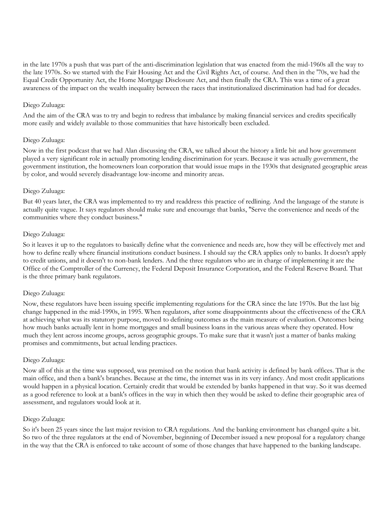in the late 1970s a push that was part of the anti-discrimination legislation that was enacted from the mid-1960s all the way to the late 1970s. So we started with the Fair Housing Act and the Civil Rights Act, of course. And then in the '70s, we had the Equal Credit Opportunity Act, the Home Mortgage Disclosure Act, and then finally the CRA. This was a time of a great awareness of the impact on the wealth inequality between the races that institutionalized discrimination had had for decades.

#### Diego Zuluaga:

And the aim of the CRA was to try and begin to redress that imbalance by making financial services and credits specifically more easily and widely available to those communities that have historically been excluded.

#### Diego Zuluaga:

Now in the first podcast that we had Alan discussing the CRA, we talked about the history a little bit and how government played a very significant role in actually promoting lending discrimination for years. Because it was actually government, the government institution, the homeowners loan corporation that would issue maps in the 1930s that designated geographic areas by color, and would severely disadvantage low-income and minority areas.

#### Diego Zuluaga:

But 40 years later, the CRA was implemented to try and readdress this practice of redlining. And the language of the statute is actually quite vague. It says regulators should make sure and encourage that banks, "Serve the convenience and needs of the communities where they conduct business."

#### Diego Zuluaga:

So it leaves it up to the regulators to basically define what the convenience and needs are, how they will be effectively met and how to define really where financial institutions conduct business. I should say the CRA applies only to banks. It doesn't apply to credit unions, and it doesn't to non-bank lenders. And the three regulators who are in charge of implementing it are the Office of the Comptroller of the Currency, the Federal Deposit Insurance Corporation, and the Federal Reserve Board. That is the three primary bank regulators.

#### Diego Zuluaga:

Now, these regulators have been issuing specific implementing regulations for the CRA since the late 1970s. But the last big change happened in the mid-1990s, in 1995. When regulators, after some disappointments about the effectiveness of the CRA at achieving what was its statutory purpose, moved to defining outcomes as the main measure of evaluation. Outcomes being how much banks actually lent in home mortgages and small business loans in the various areas where they operated. How much they lent across income groups, across geographic groups. To make sure that it wasn't just a matter of banks making promises and commitments, but actual lending practices.

#### Diego Zuluaga:

Now all of this at the time was supposed, was premised on the notion that bank activity is defined by bank offices. That is the main office, and then a bank's branches. Because at the time, the internet was in its very infancy. And most credit applications would happen in a physical location. Certainly credit that would be extended by banks happened in that way. So it was deemed as a good reference to look at a bank's offices in the way in which then they would be asked to define their geographic area of assessment, and regulators would look at it.

#### Diego Zuluaga:

So it's been 25 years since the last major revision to CRA regulations. And the banking environment has changed quite a bit. So two of the three regulators at the end of November, beginning of December issued a new proposal for a regulatory change in the way that the CRA is enforced to take account of some of those changes that have happened to the banking landscape.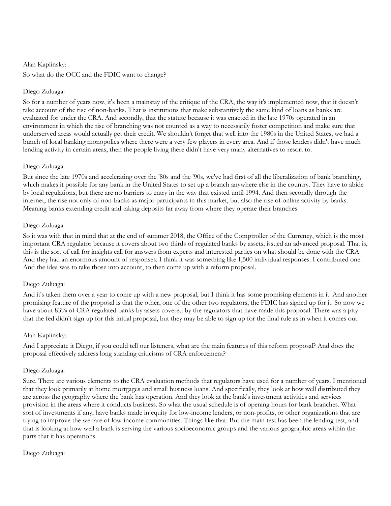#### Alan Kaplinsky:

So what do the OCC and the FDIC want to change?

## Diego Zuluaga:

So for a number of years now, it's been a mainstay of the critique of the CRA, the way it's implemented now, that it doesn't take account of the rise of non-banks. That is institutions that make substantively the same kind of loans as banks are evaluated for under the CRA. And secondly, that the statute because it was enacted in the late 1970s operated in an environment in which the rise of branching was not counted as a way to necessarily foster competition and make sure that underserved areas would actually get their credit. We shouldn't forget that well into the 1980s in the United States, we had a bunch of local banking monopolies where there were a very few players in every area. And if those lenders didn't have much lending activity in certain areas, then the people living there didn't have very many alternatives to resort to.

## Diego Zuluaga:

But since the late 1970s and accelerating over the '80s and the '90s, we've had first of all the liberalization of bank branching, which makes it possible for any bank in the United States to set up a branch anywhere else in the country. They have to abide by local regulations, but there are no barriers to entry in the way that existed until 1994. And then secondly through the internet, the rise not only of non-banks as major participants in this market, but also the rise of online activity by banks. Meaning banks extending credit and taking deposits far away from where they operate their branches.

## Diego Zuluaga:

So it was with that in mind that at the end of summer 2018, the Office of the Comptroller of the Currency, which is the most important CRA regulator because it covers about two thirds of regulated banks by assets, issued an advanced proposal. That is, this is the sort of call for insights call for answers from experts and interested parties on what should be done with the CRA. And they had an enormous amount of responses. I think it was something like 1,500 individual responses. I contributed one. And the idea was to take those into account, to then come up with a reform proposal.

#### Diego Zuluaga:

And it's taken them over a year to come up with a new proposal, but I think it has some promising elements in it. And another promising feature of the proposal is that the other, one of the other two regulators, the FDIC has signed up for it. So now we have about 83% of CRA regulated banks by assets covered by the regulators that have made this proposal. There was a pity that the fed didn't sign up for this initial proposal, but they may be able to sign up for the final rule as in when it comes out.

#### Alan Kaplinsky:

And I appreciate it Diego, if you could tell our listeners, what are the main features of this reform proposal? And does the proposal effectively address long standing criticisms of CRA enforcement?

#### Diego Zuluaga:

Sure. There are various elements to the CRA evaluation methods that regulators have used for a number of years. I mentioned that they look primarily at home mortgages and small business loans. And specifically, they look at how well distributed they are across the geography where the bank has operation. And they look at the bank's investment activities and services provision in the areas where it conducts business. So what the usual schedule is of opening hours for bank branches. What sort of investments if any, have banks made in equity for low-income lenders, or non-profits, or other organizations that are trying to improve the welfare of low-income communities. Things like that. But the main test has been the lending test, and that is looking at how well a bank is serving the various socioeconomic groups and the various geographic areas within the parts that it has operations.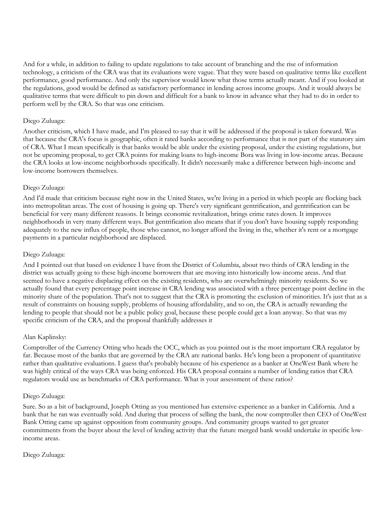And for a while, in addition to failing to update regulations to take account of branching and the rise of information technology, a criticism of the CRA was that its evaluations were vague. That they were based on qualitative terms like excellent performance, good performance. And only the supervisor would know what those terms actually meant. And if you looked at the regulations, good would be defined as satisfactory performance in lending across income groups. And it would always be qualitative terms that were difficult to pin down and difficult for a bank to know in advance what they had to do in order to perform well by the CRA. So that was one criticism.

## Diego Zuluaga:

Another criticism, which I have made, and I'm pleased to say that it will be addressed if the proposal is taken forward. Was that because the CRA's focus is geographic, often it rated banks according to performance that is not part of the statutory aim of CRA. What I mean specifically is that banks would be able under the existing proposal, under the existing regulations, but not be upcoming proposal, to get CRA points for making loans to high-income Bora was living in low-income areas. Because the CRA looks at low-income neighborhoods specifically. It didn't necessarily make a difference between high-income and low-income borrowers themselves.

## Diego Zuluaga:

And I'd made that criticism because right now in the United States, we're living in a period in which people are flocking back into metropolitan areas. The cost of housing is going up. There's very significant gentrification, and gentrification can be beneficial for very many different reasons. It brings economic revitalization, brings crime rates down. It improves neighborhoods in very many different ways. But gentrification also means that if you don't have housing supply responding adequately to the new influx of people, those who cannot, no longer afford the living in the, whether it's rent or a mortgage payments in a particular neighborhood are displaced.

## Diego Zuluaga:

And I pointed out that based on evidence I have from the District of Columbia, about two thirds of CRA lending in the district was actually going to these high-income borrowers that are moving into historically low-income areas. And that seemed to have a negative displacing effect on the existing residents, who are overwhelmingly minority residents. So we actually found that every percentage point increase in CRA lending was associated with a three percentage point decline in the minority share of the population. That's not to suggest that the CRA is promoting the exclusion of minorities. It's just that as a result of constraints on housing supply, problems of housing affordability, and so on, the CRA is actually rewarding the lending to people that should not be a public policy goal, because these people could get a loan anyway. So that was my specific criticism of the CRA, and the proposal thankfully addresses it

## Alan Kaplinsky:

Comptroller of the Currency Otting who heads the OCC, which as you pointed out is the most important CRA regulator by far. Because most of the banks that are governed by the CRA are national banks. He's long been a proponent of quantitative rather than qualitative evaluations. I guess that's probably because of his experience as a banker at OneWest Bank where he was highly critical of the ways CRA was being enforced. His CRA proposal contains a number of lending ratios that CRA regulators would use as benchmarks of CRA performance. What is your assessment of these ratios?

#### Diego Zuluaga:

Sure. So as a bit of background, Joseph Otting as you mentioned has extensive experience as a banker in California. And a bank that he ran was eventually sold. And during that process of selling the bank, the now comptroller then CEO of OneWest Bank Otting came up against opposition from community groups. And community groups wanted to get greater commitments from the buyer about the level of lending activity that the future merged bank would undertake in specific lowincome areas.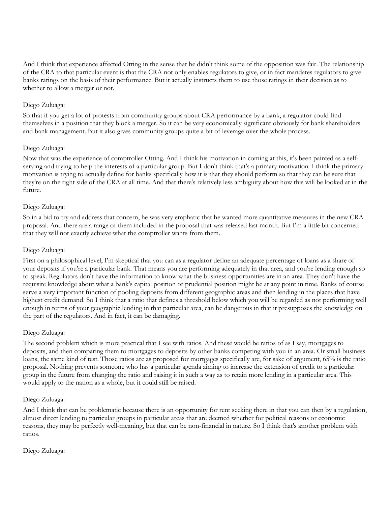And I think that experience affected Otting in the sense that he didn't think some of the opposition was fair. The relationship of the CRA to that particular event is that the CRA not only enables regulators to give, or in fact mandates regulators to give banks ratings on the basis of their performance. But it actually instructs them to use those ratings in their decision as to whether to allow a merger or not.

## Diego Zuluaga:

So that if you get a lot of protests from community groups about CRA performance by a bank, a regulator could find themselves in a position that they block a merger. So it can be very economically significant obviously for bank shareholders and bank management. But it also gives community groups quite a bit of leverage over the whole process.

## Diego Zuluaga:

Now that was the experience of comptroller Otting. And I think his motivation in coming at this, it's been painted as a selfserving and trying to help the interests of a particular group. But I don't think that's a primary motivation. I think the primary motivation is trying to actually define for banks specifically how it is that they should perform so that they can be sure that they're on the right side of the CRA at all time. And that there's relatively less ambiguity about how this will be looked at in the future.

## Diego Zuluaga:

So in a bid to try and address that concern, he was very emphatic that he wanted more quantitative measures in the new CRA proposal. And there are a range of them included in the proposal that was released last month. But I'm a little bit concerned that they will not exactly achieve what the comptroller wants from them.

## Diego Zuluaga:

First on a philosophical level, I'm skeptical that you can as a regulator define an adequate percentage of loans as a share of your deposits if you're a particular bank. That means you are performing adequately in that area, and you're lending enough so to speak. Regulators don't have the information to know what the business opportunities are in an area. They don't have the requisite knowledge about what a bank's capital position or prudential position might be at any point in time. Banks of course serve a very important function of pooling deposits from different geographic areas and then lending in the places that have highest credit demand. So I think that a ratio that defines a threshold below which you will be regarded as not performing well enough in terms of your geographic lending in that particular area, can be dangerous in that it presupposes the knowledge on the part of the regulators. And in fact, it can be damaging.

# Diego Zuluaga:

The second problem which is more practical that I see with ratios. And these would be ratios of as I say, mortgages to deposits, and then comparing them to mortgages to deposits by other banks competing with you in an area. Or small business loans, the same kind of test. Those ratios are as proposed for mortgages specifically are, for sake of argument, 65% is the ratio proposal. Nothing prevents someone who has a particular agenda aiming to increase the extension of credit to a particular group in the future from changing the ratio and raising it in such a way as to retain more lending in a particular area. This would apply to the nation as a whole, but it could still be raised.

#### Diego Zuluaga:

And I think that can be problematic because there is an opportunity for rent seeking there in that you can then by a regulation, almost direct lending to particular groups in particular areas that are deemed whether for political reasons or economic reasons, they may be perfectly well-meaning, but that can be non-financial in nature. So I think that's another problem with ratios.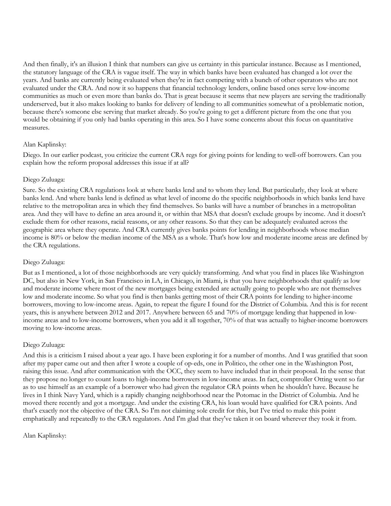And then finally, it's an illusion I think that numbers can give us certainty in this particular instance. Because as I mentioned, the statutory language of the CRA is vague itself. The way in which banks have been evaluated has changed a lot over the years. And banks are currently being evaluated when they're in fact competing with a bunch of other operators who are not evaluated under the CRA. And now it so happens that financial technology lenders, online based ones serve low-income communities as much or even more than banks do. That is great because it seems that new players are serving the traditionally underserved, but it also makes looking to banks for delivery of lending to all communities somewhat of a problematic notion, because there's someone else serving that market already. So you're going to get a different picture from the one that you would be obtaining if you only had banks operating in this area. So I have some concerns about this focus on quantitative measures.

# Alan Kaplinsky:

Diego. In our earlier podcast, you criticize the current CRA regs for giving points for lending to well-off borrowers. Can you explain how the reform proposal addresses this issue if at all?

## Diego Zuluaga:

Sure. So the existing CRA regulations look at where banks lend and to whom they lend. But particularly, they look at where banks lend. And where banks lend is defined as what level of income do the specific neighborhoods in which banks lend have relative to the metropolitan area in which they find themselves. So banks will have a number of branches in a metropolitan area. And they will have to define an area around it, or within that MSA that doesn't exclude groups by income. And it doesn't exclude them for other reasons, racial reasons, or any other reasons. So that they can be adequately evaluated across the geographic area where they operate. And CRA currently gives banks points for lending in neighborhoods whose median income is 80% or below the median income of the MSA as a whole. That's how low and moderate income areas are defined by the CRA regulations.

# Diego Zuluaga:

But as I mentioned, a lot of those neighborhoods are very quickly transforming. And what you find in places like Washington DC, but also in New York, in San Francisco in LA, in Chicago, in Miami, is that you have neighborhoods that qualify as low and moderate income where most of the new mortgages being extended are actually going to people who are not themselves low and moderate income. So what you find is then banks getting most of their CRA points for lending to higher-income borrowers, moving to low-income areas. Again, to repeat the figure I found for the District of Columbia. And this is for recent years, this is anywhere between 2012 and 2017. Anywhere between 65 and 70% of mortgage lending that happened in lowincome areas and to low-income borrowers, when you add it all together, 70% of that was actually to higher-income borrowers moving to low-income areas.

# Diego Zuluaga:

And this is a criticism I raised about a year ago. I have been exploring it for a number of months. And I was gratified that soon after my paper came out and then after I wrote a couple of op-eds, one in Politico, the other one in the Washington Post, raising this issue. And after communication with the OCC, they seem to have included that in their proposal. In the sense that they propose no longer to count loans to high-income borrowers in low-income areas. In fact, comptroller Otting went so far as to use himself as an example of a borrower who had given the regulator CRA points when he shouldn't have. Because he lives in I think Navy Yard, which is a rapidly changing neighborhood near the Potomac in the District of Columbia. And he moved there recently and got a mortgage. And under the existing CRA, his loan would have qualified for CRA points. And that's exactly not the objective of the CRA. So I'm not claiming sole credit for this, but I've tried to make this point emphatically and repeatedly to the CRA regulators. And I'm glad that they've taken it on board wherever they took it from.

#### Alan Kaplinsky: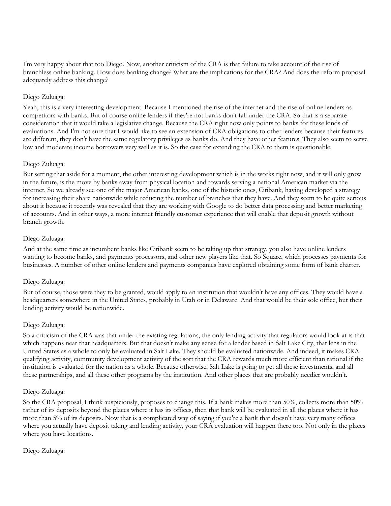I'm very happy about that too Diego. Now, another criticism of the CRA is that failure to take account of the rise of branchless online banking. How does banking change? What are the implications for the CRA? And does the reform proposal adequately address this change?

# Diego Zuluaga:

Yeah, this is a very interesting development. Because I mentioned the rise of the internet and the rise of online lenders as competitors with banks. But of course online lenders if they're not banks don't fall under the CRA. So that is a separate consideration that it would take a legislative change. Because the CRA right now only points to banks for these kinds of evaluations. And I'm not sure that I would like to see an extension of CRA obligations to other lenders because their features are different, they don't have the same regulatory privileges as banks do. And they have other features. They also seem to serve low and moderate income borrowers very well as it is. So the case for extending the CRA to them is questionable.

#### Diego Zuluaga:

But setting that aside for a moment, the other interesting development which is in the works right now, and it will only grow in the future, is the move by banks away from physical location and towards serving a national American market via the internet. So we already see one of the major American banks, one of the historic ones, Citibank, having developed a strategy for increasing their share nationwide while reducing the number of branches that they have. And they seem to be quite serious about it because it recently was revealed that they are working with Google to do better data processing and better marketing of accounts. And in other ways, a more internet friendly customer experience that will enable that deposit growth without branch growth.

#### Diego Zuluaga:

And at the same time as incumbent banks like Citibank seem to be taking up that strategy, you also have online lenders wanting to become banks, and payments processors, and other new players like that. So Square, which processes payments for businesses. A number of other online lenders and payments companies have explored obtaining some form of bank charter.

#### Diego Zuluaga:

But of course, those were they to be granted, would apply to an institution that wouldn't have any offices. They would have a headquarters somewhere in the United States, probably in Utah or in Delaware. And that would be their sole office, but their lending activity would be nationwide.

#### Diego Zuluaga:

So a criticism of the CRA was that under the existing regulations, the only lending activity that regulators would look at is that which happens near that headquarters. But that doesn't make any sense for a lender based in Salt Lake City, that lens in the United States as a whole to only be evaluated in Salt Lake. They should be evaluated nationwide. And indeed, it makes CRA qualifying activity, community development activity of the sort that the CRA rewards much more efficient than rational if the institution is evaluated for the nation as a whole. Because otherwise, Salt Lake is going to get all these investments, and all these partnerships, and all these other programs by the institution. And other places that are probably needier wouldn't.

#### Diego Zuluaga:

So the CRA proposal, I think auspiciously, proposes to change this. If a bank makes more than 50%, collects more than 50% rather of its deposits beyond the places where it has its offices, then that bank will be evaluated in all the places where it has more than 5% of its deposits. Now that is a complicated way of saying if you're a bank that doesn't have very many offices where you actually have deposit taking and lending activity, your CRA evaluation will happen there too. Not only in the places where you have locations.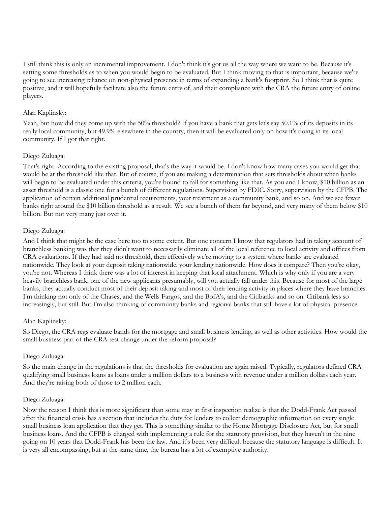I still think this is only an incremental improvement. I don't think it's got us all the way where we want to be. Because it's setting some thresholds as to when you would begin to be evaluated. But I think moving to that is important, because we're going to see increasing reliance on non-physical presence in terms of expanding a bank's footprint. So I think that is quite positive, and it will hopefully facilitate also the future entry of, and their compliance with the CRA the future entry of online players.

## Alan Kaplinsky:

Yeah, but how did they come up with the 50% threshold? If you have a bank that gets let's say 50.1% of its deposits in its really local community, but 49.9% elsewhere in the country, then it will be evaluated only on how it's doing in its local community. If I got that right.

## Diego Zuluaga:

That's right. According to the existing proposal, that's the way it would be. I don't know how many cases you would get that would be at the threshold like that. But of course, if you are making a determination that sets thresholds about when banks will begin to be evaluated under this criteria, you're bound to fall for something like that. As you and I know, \$10 billion as an asset threshold is a classic one for a bunch of different regulations. Supervision by FDIC. Sorry, supervision by the CFPB. The application of certain additional prudential requirements, your treatment as a community bank, and so on. And we see fewer banks right around the \$10 billion threshold as a result. We see a bunch of them far beyond, and very many of them below \$10 billion. But not very many just over it.

## Diego Zuluaga:

And I think that might be the case here too to some extent. But one concern I know that regulators had in taking account of branchless banking was that they didn't want to necessarily eliminate all of the local reference to local activity and offices from CRA evaluations. If they had said no threshold, then effectively we're moving to a system where banks are evaluated nationwide. They look at your deposit taking nationwide, your lending nationwide. How does it compare? Then you're okay, you're not. Whereas I think there was a lot of interest in keeping that local attachment. Which is why only if you are a very heavily branchless bank, one of the new applicants presumably, will you actually fall under this. Because for most of the large banks, they actually conduct most of their deposit taking and most of their lending activity in places where they have branches. I'm thinking not only of the Chases, and the Wells Fargos, and the BofA's, and the Citibanks and so on. Citibank less so increasingly, but still. But I'm also thinking of community banks and regional banks that still have a lot of physical presence.

#### Alan Kaplinsky:

So Diego, the CRA regs evaluate bands for the mortgage and small business lending, as well as other activities. How would the small business part of the CRA test change under the reform proposal?

#### Diego Zuluaga:

So the main change in the regulations is that the thresholds for evaluation are again raised. Typically, regulators defined CRA qualifying small business loans as loans under a million dollars to a business with revenue under a million dollars each year. And they're raising both of those to 2 million each.

#### Diego Zuluaga:

Now the reason I think this is more significant than some may at first inspection realize is that the Dodd-Frank Act passed after the financial crisis has a section that includes the duty for lenders to collect demographic information on every single small business loan application that they get. This is something similar to the Home Mortgage Disclosure Act, but for small business loans. And the CFPB is charged with implementing a rule for the statutory provision, but they haven't in the nine going on 10 years that Dodd-Frank has been the law. And it's been very difficult because the statutory language is difficult. It is very all encompassing, but at the same time, the bureau has a lot of exemptive authority.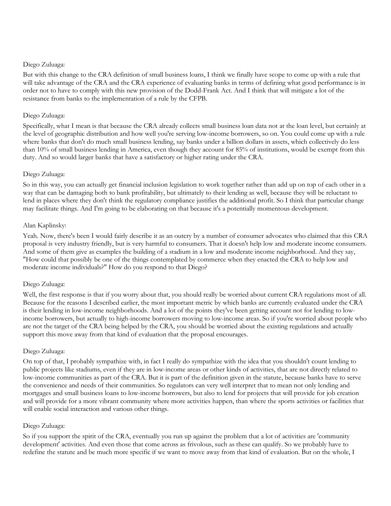## Diego Zuluaga:

But with this change to the CRA definition of small business loans, I think we finally have scope to come up with a rule that will take advantage of the CRA and the CRA experience of evaluating banks in terms of defining what good performance is in order not to have to comply with this new provision of the Dodd-Frank Act. And I think that will mitigate a lot of the resistance from banks to the implementation of a rule by the CFPB.

## Diego Zuluaga:

Specifically, what I mean is that because the CRA already collects small business loan data not at the loan level, but certainly at the level of geographic distribution and how well you're serving low-income borrowers, so on. You could come up with a rule where banks that don't do much small business lending, say banks under a billion dollars in assets, which collectively do less than 10% of small business lending in America, even though they account for 85% of institutions, would be exempt from this duty. And so would larger banks that have a satisfactory or higher rating under the CRA.

## Diego Zuluaga:

So in this way, you can actually get financial inclusion legislation to work together rather than add up on top of each other in a way that can be damaging both to bank profitability, but ultimately to their lending as well, because they will be reluctant to lend in places where they don't think the regulatory compliance justifies the additional profit. So I think that particular change may facilitate things. And I'm going to be elaborating on that because it's a potentially momentous development.

# Alan Kaplinsky:

Yeah. Now, there's been I would fairly describe it as an outcry by a number of consumer advocates who claimed that this CRA proposal is very industry friendly, but is very harmful to consumers. That it doesn't help low and moderate income consumers. And some of them give as examples the building of a stadium in a low and moderate income neighborhood. And they say, "How could that possibly be one of the things contemplated by commerce when they enacted the CRA to help low and moderate income individuals?" How do you respond to that Diego?

# Diego Zuluaga:

Well, the first response is that if you worry about that, you should really be worried about current CRA regulations most of all. Because for the reasons I described earlier, the most important metric by which banks are currently evaluated under the CRA is their lending in low-income neighborhoods. And a lot of the points they've been getting account not for lending to lowincome borrowers, but actually to high-income borrowers moving to low-income areas. So if you're worried about people who are not the target of the CRA being helped by the CRA, you should be worried about the existing regulations and actually support this move away from that kind of evaluation that the proposal encourages.

#### Diego Zuluaga:

On top of that, I probably sympathize with, in fact I really do sympathize with the idea that you shouldn't count lending to public projects like stadiums, even if they are in low-income areas or other kinds of activities, that are not directly related to low-income communities as part of the CRA. But it is part of the definition given in the statute, because banks have to serve the convenience and needs of their communities. So regulators can very well interpret that to mean not only lending and mortgages and small business loans to low-income borrowers, but also to lend for projects that will provide for job creation and will provide for a more vibrant community where more activities happen, than where the sports activities or facilities that will enable social interaction and various other things.

## Diego Zuluaga:

So if you support the spirit of the CRA, eventually you run up against the problem that a lot of activities are 'community development' activities. And even those that come across as frivolous, such as these can qualify. So we probably have to redefine the statute and be much more specific if we want to move away from that kind of evaluation. But on the whole, I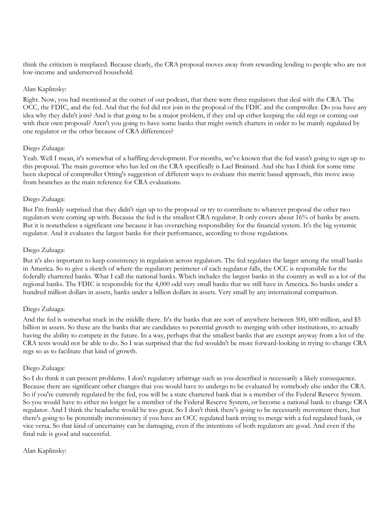think the criticism is misplaced. Because clearly, the CRA proposal moves away from rewarding lending to people who are not low-income and underserved household.

## Alan Kaplinsky:

Right. Now, you had mentioned at the outset of our podcast, that there were three regulators that deal with the CRA. The OCC, the FDIC, and the fed. And that the fed did not join in the proposal of the FDIC and the comptroller. Do you have any idea why they didn't join? And is that going to be a major problem, if they end up either keeping the old regs or coming out with their own proposal? Aren't you going to have some banks that might switch charters in order to be mainly regulated by one regulator or the other because of CRA differences?

## Diego Zuluaga:

Yeah. Well I mean, it's somewhat of a baffling development. For months, we've known that the fed wasn't going to sign up to this proposal. The main governor who has led on the CRA specifically is Lael Brainard. And she has I think for some time been skeptical of comptroller Otting's suggestion of different ways to evaluate this metric based approach, this move away from branches as the main reference for CRA evaluations.

## Diego Zuluaga:

But I'm frankly surprised that they didn't sign up to the proposal or try to contribute to whatever proposal the other two regulators were coming up with. Because the fed is the smallest CRA regulator. It only covers about 16% of banks by assets. But it is nonetheless a significant one because it has overarching responsibility for the financial system. It's the big systemic regulator. And it evaluates the largest banks for their performance, according to those regulations.

## Diego Zuluaga:

But it's also important to keep consistency in regulation across regulators. The fed regulates the larger among the small banks in America. So to give a sketch of where the regulatory perimeter of each regulator falls, the OCC is responsible for the federally chartered banks. What I call the national banks. Which includes the largest banks in the country as well as a lot of the regional banks. The FDIC is responsible for the 4,000 odd very small banks that we still have in America. So banks under a hundred million dollars in assets, banks under a billion dollars in assets. Very small by any international comparison.

## Diego Zuluaga:

And the fed is somewhat stuck in the middle there. It's the banks that are sort of anywhere between 500, 600 million, and \$5 billion in assets. So these are the banks that are candidates to potential growth to merging with other institutions, to actually having the ability to compete in the future. In a way, perhaps that the smallest banks that are exempt anyway from a lot of the CRA tests would not be able to do. So I was surprised that the fed wouldn't be more forward-looking in trying to change CRA regs so as to facilitate that kind of growth.

#### Diego Zuluaga:

So I do think it can present problems. I don't regulatory arbitrage such as you described is necessarily a likely consequence. Because there are significant other changes that you would have to undergo to be evaluated by somebody else under the CRA. So if you're currently regulated by the fed, you will be a state chartered bank that is a member of the Federal Reserve System. So you would have to either no longer be a member of the Federal Reserve System, or become a national bank to change CRA regulator. And I think the headache would be too great. So I don't think there's going to be necessarily movement there, but there's going to be potentially inconsistency if you have an OCC regulated bank trying to merge with a fed regulated bank, or vice versa. So that kind of uncertainty can be damaging, even if the intentions of both regulators are good. And even if the final rule is good and successful.

## Alan Kaplinsky: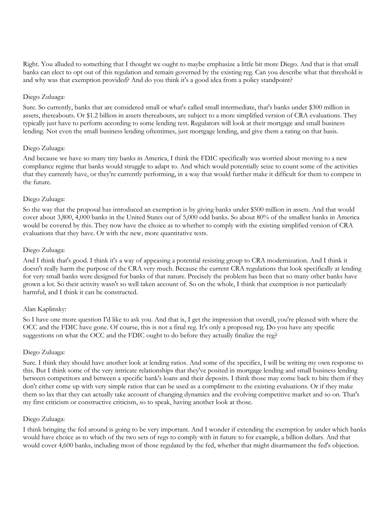Right. You alluded to something that I thought we ought to maybe emphasize a little bit more Diego. And that is that small banks can elect to opt out of this regulation and remain governed by the existing reg. Can you describe what that threshold is and why was that exemption provided? And do you think it's a good idea from a policy standpoint?

## Diego Zuluaga:

Sure. So currently, banks that are considered small or what's called small intermediate, that's banks under \$300 million in assets, thereabouts. Or \$1.2 billion in assets thereabouts, are subject to a more simplified version of CRA evaluations. They typically just have to perform according to some lending test. Regulators will look at their mortgage and small business lending. Not even the small business lending oftentimes, just mortgage lending, and give them a rating on that basis.

## Diego Zuluaga:

And because we have so many tiny banks in America, I think the FDIC specifically was worried about moving to a new compliance regime that banks would struggle to adapt to. And which would potentially seize to count some of the activities that they currently have, or they're currently performing, in a way that would further make it difficult for them to compete in the future.

## Diego Zuluaga:

So the way that the proposal has introduced an exemption is by giving banks under \$500 million in assets. And that would cover about 3,800, 4,000 banks in the United States out of 5,000 odd banks. So about 80% of the smallest banks in America would be covered by this. They now have the choice as to whether to comply with the existing simplified version of CRA evaluations that they have. Or with the new, more quantitative tests.

## Diego Zuluaga:

And I think that's good. I think it's a way of appeasing a potential resisting group to CRA modernization. And I think it doesn't really harm the purpose of the CRA very much. Because the current CRA regulations that look specifically at lending for very small banks were designed for banks of that nature. Precisely the problem has been that so many other banks have grown a lot. So their activity wasn't so well taken account of. So on the whole, I think that exemption is not particularly harmful, and I think it can be constructed.

#### Alan Kaplinsky:

So I have one more question I'd like to ask you. And that is, I get the impression that overall, you're pleased with where the OCC and the FDIC have gone. Of course, this is not a final reg. It's only a proposed reg. Do you have any specific suggestions on what the OCC and the FDIC ought to do before they actually finalize the reg?

#### Diego Zuluaga:

Sure. I think they should have another look at lending ratios. And some of the specifics, I will be writing my own response to this. But I think some of the very intricate relationships that they've posited in mortgage lending and small business lending between competitors and between a specific bank's loans and their deposits. I think those may come back to bite them if they don't either come up with very simple ratios that can be used as a compliment to the existing evaluations. Or if they make them so lax that they can actually take account of changing dynamics and the evolving competitive market and so on. That's my first criticism or constructive criticism, so to speak, having another look at those.

#### Diego Zuluaga:

I think bringing the fed around is going to be very important. And I wonder if extending the exemption by under which banks would have choice as to which of the two sets of regs to comply with in future to for example, a billion dollars. And that would cover 4,600 banks, including most of those regulated by the fed, whether that might disarmament the fed's objection.